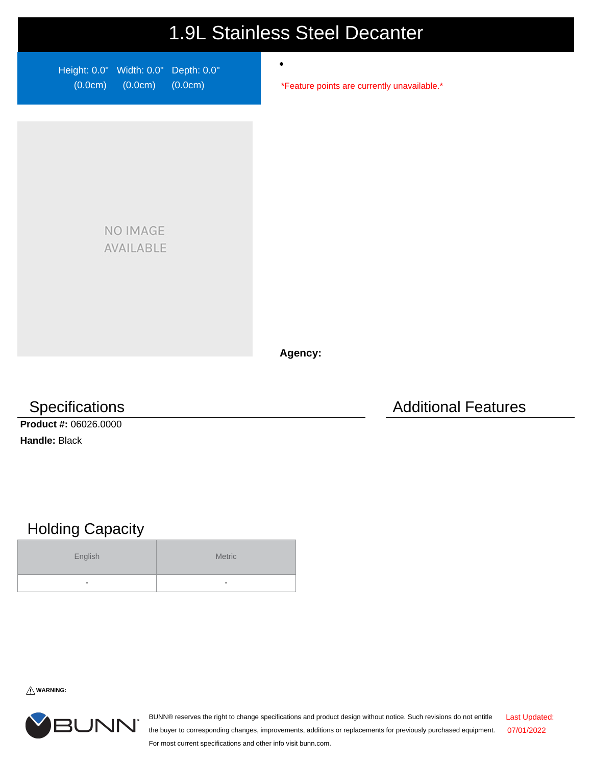## 1.9L Stainless Steel Decanter

 $\bullet$ 

Height: 0.0" Width: 0.0" Depth: 0.0" (0.0cm) (0.0cm) (0.0cm)

\*Feature points are currently unavailable.\*

NO IMAGE AVAILABLE

**Agency:**

**Product #:** 06026.0000 **Handle:** Black

## Holding Capacity

| English | Metric |
|---------|--------|
| -       | -      |

**WARNING:**



BUNN® reserves the right to change specifications and product design without notice. Such revisions do not entitle the buyer to corresponding changes, improvements, additions or replacements for previously purchased equipment. For most current specifications and other info visit bunn.com. Last Updated: 07/01/2022

Specifications **Additional Features** Additional Features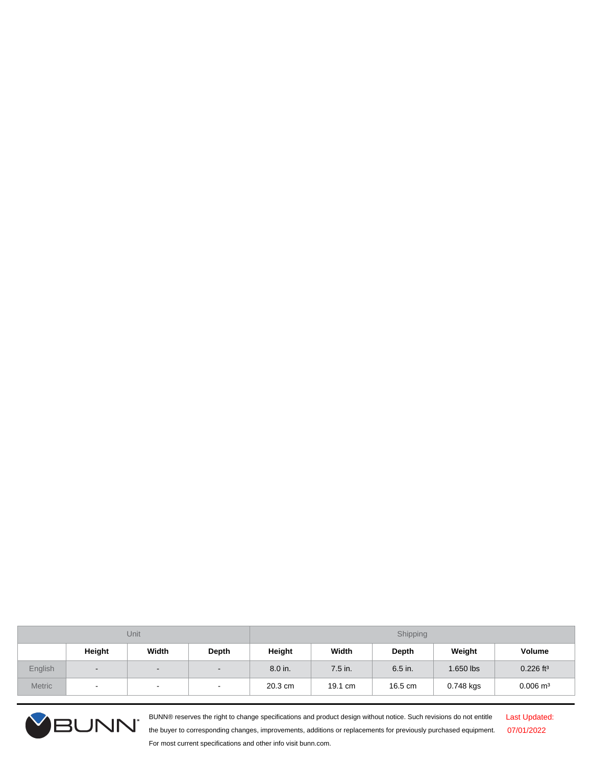| Unit          |                          |                          |                | Shipping |           |         |           |                         |
|---------------|--------------------------|--------------------------|----------------|----------|-----------|---------|-----------|-------------------------|
|               | Height                   | Width                    | Depth          | Height   | Width     | Depth   | Weight    | <b>Volume</b>           |
| English       | $\sim$                   | $\overline{\phantom{0}}$ | $\blacksquare$ | 8.0 in.  | $7.5$ in. | 6.5 in. | 1.650 lbs | $0.226$ ft <sup>3</sup> |
| <b>Metric</b> | $\overline{\phantom{a}}$ | $\,$ $\,$                | $\sim$         | 20.3 cm  | 19.1 cm   | 16.5 cm | 0.748 kgs | $0.006$ m <sup>3</sup>  |



BUNN® reserves the right to change specifications and product design without notice. Such revisions do not entitle the buyer to corresponding changes, improvements, additions or replacements for previously purchased equipment. For most current specifications and other info visit bunn.com.

Last Updated: 07/01/2022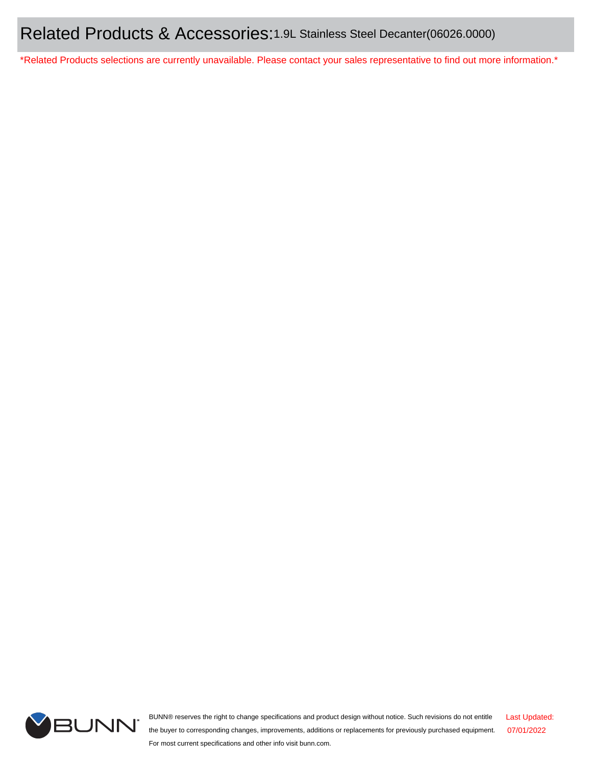\*Related Products selections are currently unavailable. Please contact your sales representative to find out more information.\*



BUNN® reserves the right to change specifications and product design without notice. Such revisions do not entitle the buyer to corresponding changes, improvements, additions or replacements for previously purchased equipment. For most current specifications and other info visit bunn.com. Last Updated: 07/01/2022